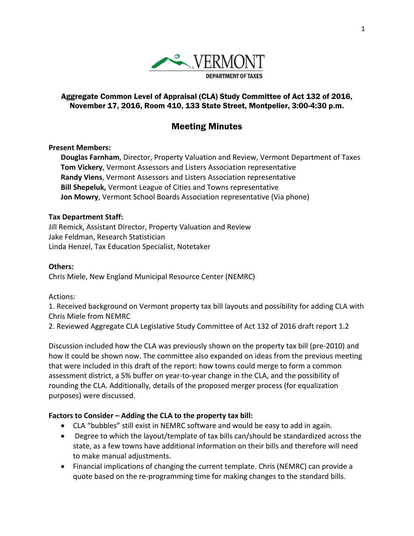

## Aggregate Common Level of Appraisal (CLA) Study Committee of Act 132 of 2016, November 17, 2016, Room 410, 133 State Street, Montpelier, 3:00-4:30 p.m.

# Meeting Minutes

#### **Present Members:**

**Douglas Farnham**, Director, Property Valuation and Review, Vermont Department of Taxes **Tom Vickery**, Vermont Assessors and Listers Association representative **Randy Viens**, Vermont Assessors and Listers Association representative **Bill Shepeluk,** Vermont League of Cities and Towns representative **Jon Mowry**, Vermont School Boards Association representative (Via phone)

#### **Tax Department Staff:**

Jill Remick, Assistant Director, Property Valuation and Review Jake Feldman, Research Statistician Linda Henzel, Tax Education Specialist, Notetaker

#### **Others:**

Chris Miele, New England Municipal Resource Center (NEMRC)

Actions:

1. Received background on Vermont property tax bill layouts and possibility for adding CLA with Chris Miele from NEMRC

2. Reviewed Aggregate CLA Legislative Study Committee of Act 132 of 2016 draft report 1.2

Discussion included how the CLA was previously shown on the property tax bill (pre‐2010) and how it could be shown now. The committee also expanded on ideas from the previous meeting that were included in this draft of the report: how towns could merge to form a common assessment district, a 5% buffer on year‐to‐year change in the CLA, and the possibility of rounding the CLA. Additionally, details of the proposed merger process (for equalization purposes) were discussed.

## **Factors to Consider – Adding the CLA to the property tax bill:**

- CLA "bubbles" still exist in NEMRC software and would be easy to add in again.
- Degree to which the layout/template of tax bills can/should be standardized across the state, as a few towns have additional information on their bills and therefore will need to make manual adjustments.
- Financial implications of changing the current template. Chris (NEMRC) can provide a quote based on the re‐programming time for making changes to the standard bills.